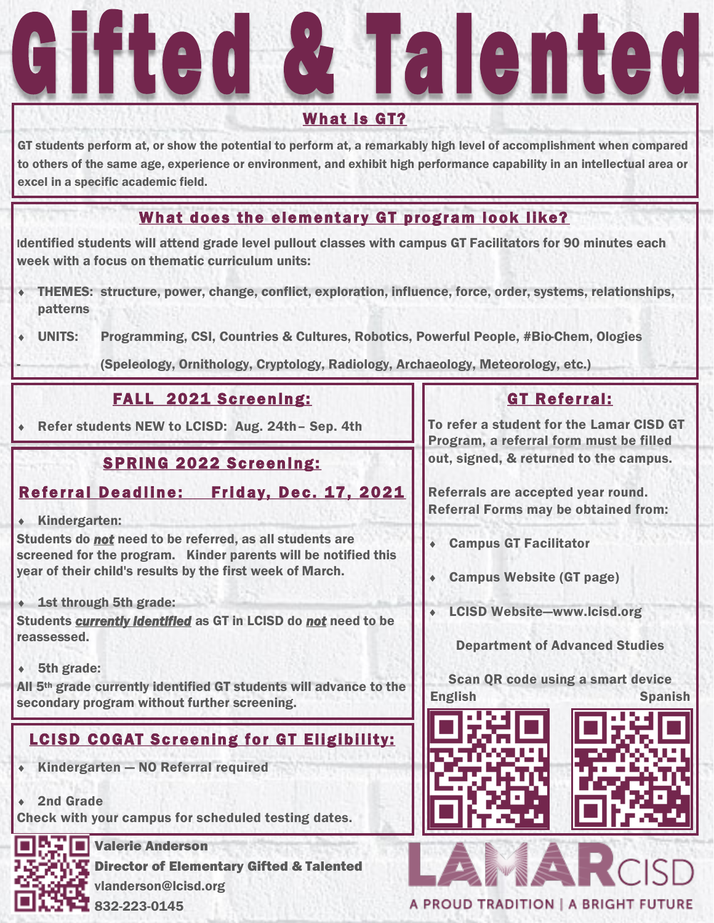# alente **SHILL**

#### What is GT?

GT students perform at, or show the potential to perform at, a remarkably high level of accomplishment when compared to others of the same age, experience or environment, and exhibit high performance capability in an intellectual area or excel in a specific academic field.

# What does the elementary GT program look like?

Identified students will attend grade level pullout classes with campus GT Facilitators for 90 minutes each week with a focus on thematic curriculum units:

- THEMES: structure, power, change, conflict, exploration, influence, force, order, systems, relationships, patterns
- UNITS: Programming, CSI, Countries & Cultures, Robotics, Powerful People, #Bio-Chem, Ologies

(Speleology, Ornithology, Cryptology, Radiology, Archaeology, Meteorology, etc.)

## FALL 2021 Screening:

Refer students NEW to LCISD: Aug. 24th– Sep. 4th

# **SPRING 2022 Screening:**

### Referral Deadline: Friday, Dec. 17, 2021

Kindergarten:

-

Students do *not* need to be referred, as all students are screened for the program. Kinder parents will be notified this year of their child's results by the first week of March.

1st through 5th grade:

Students *currently identified* as GT in LCISD do *not* need to be reassessed.

5th grade:

All 5th grade currently identified GT students will advance to the secondary program without further screening.

# **LCISD COGAT Screening for GT Eligibility:**

- $\bullet$  Kindergarten NO Referral required
- 2nd Grade

Check with your campus for scheduled testing dates.



**NTIF** Valerie Anderson **Director of Elementary Gifted & Talented** vlanderson@lcisd.org 832-223-0145

# GT Referral:

To refer a student for the Lamar CISD GT Program, a referral form must be filled out, signed, & returned to the campus.

Referrals are accepted year round. Referral Forms may be obtained from:

- Campus GT Facilitator
- Campus Website (GT page)
- LCISD Website—www.lcisd.org

#### Department of Advanced Studies

Scan QR code using a smart device English Spanish



A PROUD TRADITION | A BRIGHT FUTURE